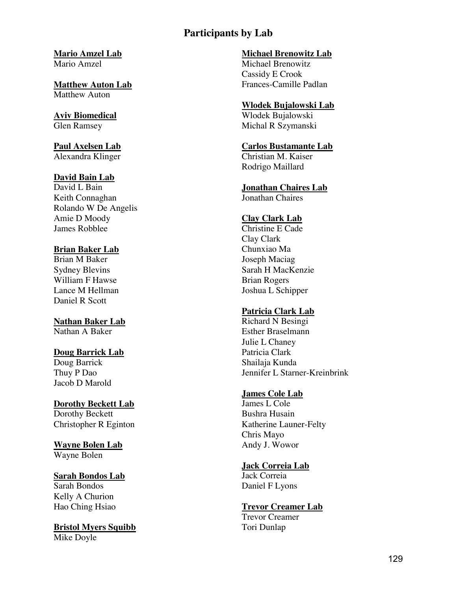**Mario Amzel Lab** Mario Amzel

**Matthew Auton Lab** Matthew Auton

**Aviv Biomedical** Glen Ramsey

**Paul Axelsen Lab** Alexandra Klinger

#### **David Bain Lab**

David L Bain Keith Connaghan Rolando W De Angelis Amie D Moody James Robblee

### **Brian Baker Lab**

Brian M Baker Sydney Blevins William F Hawse Lance M Hellman Daniel R Scott

**Nathan Baker Lab** Nathan A Baker

### **Doug Barrick Lab** Doug Barrick

Thuy P Dao Jacob D Marold

# **Dorothy Beckett Lab**

Dorothy Beckett Christopher R Eginton

**Wayne Bolen Lab** Wayne Bolen

#### **Sarah Bondos Lab** Sarah Bondos

Kelly A Churion Hao Ching Hsiao

**Bristol Myers Squibb** Mike Doyle

#### **Michael Brenowitz Lab**

Michael Brenowitz Cassidy E Crook Frances-Camille Padlan

### **Wlodek Bujalowski Lab**

Wlodek Bujalowski Michal R Szymanski

#### **Carlos Bustamante Lab**

Christian M. Kaiser Rodrigo Maillard

# **Jonathan Chaires Lab**

Jonathan Chaires

## **Clay Clark Lab**

Christine E Cade Clay Clark Chunxiao Ma Joseph Maciag Sarah H MacKenzie Brian Rogers Joshua L Schipper

## **Patricia Clark Lab**

Richard N Besingi Esther Braselmann Julie L Chaney Patricia Clark Shailaja Kunda Jennifer L Starner-Kreinbrink

#### **James Cole Lab**

James L Cole Bushra Husain Katherine Launer-Felty Chris Mayo Andy J. Wowor

#### **Jack Correia Lab**

Jack Correia Daniel F Lyons

# **Trevor Creamer Lab**

Trevor Creamer Tori Dunlap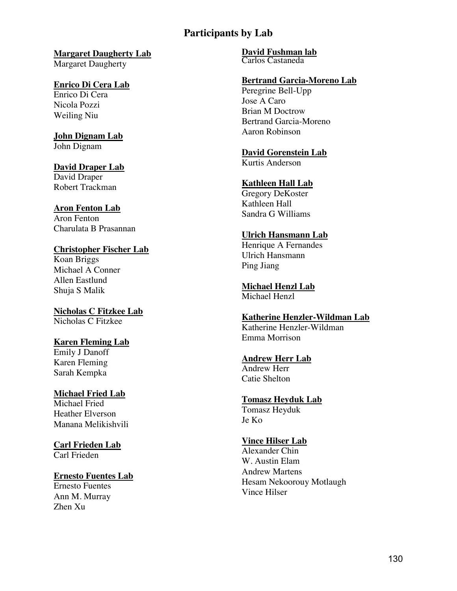# **Margaret Daugherty Lab**

Margaret Daugherty

#### **Enrico Di Cera Lab** Enrico Di Cera

Nicola Pozzi Weiling Niu

### **John Dignam Lab** John Dignam

#### **David Draper Lab** David Draper Robert Trackman

### **Aron Fenton Lab** Aron Fenton Charulata B Prasannan

### **Christopher Fischer Lab** Koan Briggs Michael A Conner

Allen Eastlund Shuja S Malik

**Nicholas C Fitzkee Lab** Nicholas C Fitzkee

# **Karen Fleming Lab**

Emily J Danoff Karen Fleming Sarah Kempka

#### **Michael Fried Lab** Michael Fried

Heather Elverson Manana Melikishvili

### **Carl Frieden Lab** Carl Frieden

### **Ernesto Fuentes Lab** Ernesto Fuentes

Ann M. Murray Zhen Xu

# **David Fushman lab**

Carlos Castaneda

# **Bertrand Garcia-Moreno Lab**

Peregrine Bell-Upp Jose A Caro Brian M Doctrow Bertrand Garcia-Moreno Aaron Robinson

# **David Gorenstein Lab**

Kurtis Anderson

# **Kathleen Hall Lab**

Gregory DeKoster Kathleen Hall Sandra G Williams

# **Ulrich Hansmann Lab**

Henrique A Fernandes Ulrich Hansmann Ping Jiang

#### **Michael Henzl Lab** Michael Henzl

### **Katherine Henzler-Wildman Lab** Katherine Henzler-Wildman

Emma Morrison

# **Andrew Herr Lab**

Andrew Herr Catie Shelton

# **Tomasz Heyduk Lab**

Tomasz Heyduk Je Ko

# **Vince Hilser Lab**

Alexander Chin W. Austin Elam Andrew Martens Hesam Nekoorouy Motlaugh Vince Hilser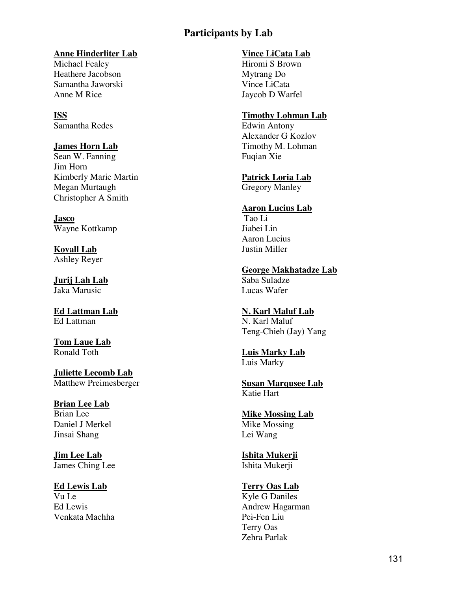### **Anne Hinderliter Lab**

Michael Fealey Heathere Jacobson Samantha Jaworski Anne M Rice

**ISS** Samantha Redes

# **James Horn Lab**

Sean W. Fanning Jim Horn Kimberly Marie Martin Megan Murtaugh Christopher A Smith

**Jasco** Wayne Kottkamp

**Kovall Lab** Ashley Reyer

**Jurij Lah Lab** Jaka Marusic

**Ed Lattman Lab** Ed Lattman

**Tom Laue Lab** Ronald Toth

**Juliette Lecomb Lab** Matthew Preimesberger

**Brian Lee Lab** Brian Lee Daniel J Merkel Jinsai Shang

**Jim Lee Lab** James Ching Lee

**Ed Lewis Lab** Vu Le Ed Lewis Venkata Machha

### **Vince LiCata Lab**

Hiromi S Brown Mytrang Do Vince LiCata Jaycob D Warfel

### **Timothy Lohman Lab**

Edwin Antony Alexander G Kozlov Timothy M. Lohman Fuqian Xie

**Patrick Loria Lab** Gregory Manley

### **Aaron Lucius Lab**

Tao Li Jiabei Lin Aaron Lucius Justin Miller

**George Makhatadze Lab** Saba Suladze Lucas Wafer

## **N. Karl Maluf Lab**

N. Karl Maluf Teng-Chieh (Jay) Yang

**Luis Marky Lab** Luis Marky

**Susan Marqusee Lab** Katie Hart

**Mike Mossing Lab** Mike Mossing Lei Wang

**Ishita Mukerji** Ishita Mukerji

## **Terry Oas Lab**

Kyle G Daniles Andrew Hagarman Pei-Fen Liu Terry Oas Zehra Parlak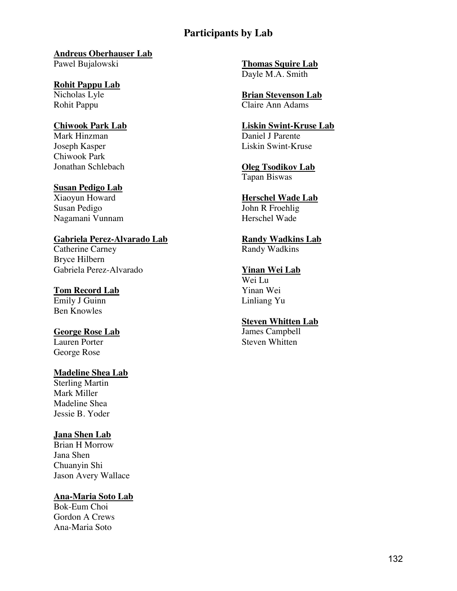# **Andreus Oberhauser Lab**

Pawel Bujalowski

**Rohit Pappu Lab** Nicholas Lyle Rohit Pappu

#### **Chiwook Park Lab** Mark Hinzman Joseph Kasper

Chiwook Park Jonathan Schlebach

## **Susan Pedigo Lab**

Xiaoyun Howard Susan Pedigo Nagamani Vunnam

# **Gabriela Perez-Alvarado Lab**

Catherine Carney Bryce Hilbern Gabriela Perez-Alvarado

# **Tom Record Lab**

Emily J Guinn Ben Knowles

# **George Rose Lab**

Lauren Porter George Rose

# **Madeline Shea Lab**

Sterling Martin Mark Miller Madeline Shea Jessie B. Yoder

## **Jana Shen Lab**

Brian H Morrow Jana Shen Chuanyin Shi Jason Avery Wallace

# **Ana-Maria Soto Lab**

Bok-Eum Choi Gordon A Crews Ana-Maria Soto

**Thomas Squire Lab** Dayle M.A. Smith

**Brian Stevenson Lab** Claire Ann Adams

#### **Liskin Swint-Kruse Lab** Daniel J Parente Liskin Swint-Kruse

**Oleg Tsodikov Lab** Tapan Biswas

#### **Herschel Wade Lab** John R Froehlig Herschel Wade

**Randy Wadkins Lab** Randy Wadkins

#### **Yinan Wei Lab** Wei Lu

Yinan Wei Linliang Yu

# **Steven Whitten Lab**

James Campbell Steven Whitten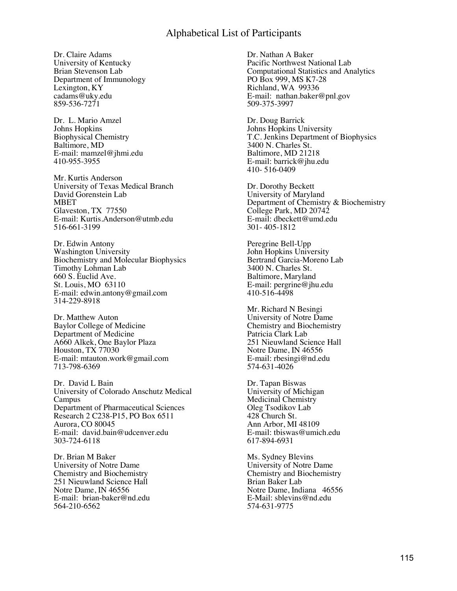Dr. Claire Adams University of Kentucky Brian Stevenson Lab Department of Immunology Lexington, KY [cadams@uky.edu](mailto:cadams@uky.edu) 859-536-7271

Dr. L. Mario Amzel Johns Hopkins Biophysical Chemistry Baltimore, MD E-mail: [mamzel@jhmi.edu](mailto:mamzel@jhmi.edu) 410-955-3955

Mr. Kurtis Anderson University of Texas Medical Branch David Gorenstein Lab MBET Glaveston, TX 77550 E-mail: [Kurtis.Anderson@utmb.edu](mailto:Kurtis.Anderson@utmb.edu) 516-661-3199

Dr. Edwin Antony Washington University Biochemistry and Molecular Biophysics Timothy Lohman Lab 660 S. Euclid Ave. St. Louis, MO 63110 E-mail: [edwin.antony@gmail.com](mailto:edwin.antony@gmail.com) 314-229-8918

Dr. Matthew Auton Baylor College of Medicine Department of Medicine A660 Alkek, One Baylor Plaza Houston, TX 77030 E-mail: mtauton.work@gmail.com 713-798-6369

Dr. David L Bain University of Colorado Anschutz Medical Campus Department of Pharmaceutical Sciences Research 2 C238-P15, PO Box 6511 Aurora, CO 80045 E-mail: david.bain@udcenver.edu 303-724-6118

Dr. Brian M Baker University of Notre Dame Chemistry and Biochemistry 251 Nieuwland Science Hall Notre Dame, IN 46556 E-mail: brian-baker@nd.edu 564-210-6562

Dr. Nathan A Baker Pacific Northwest National Lab Computational Statistics and Analytics PO Box 999, MS K7-28 Richland, WA 99336 E-mail: nathan.baker@pnl.gov 509-375-3997

Dr. Doug Barrick Johns Hopkins University T.C. Jenkins Department of Biophysics 3400 N. Charles St. Baltimore, MD 21218 E-mail: barrick@jhu.edu 410- 516-0409

Dr. Dorothy Beckett University of Maryland Department of Chemistry & Biochemistry College Park, MD 20742 E-mail: dbeckett@umd.edu 301- 405-1812

Peregrine Bell-Upp John Hopkins University Bertrand Garcia-Moreno Lab 3400 N. Charles St. Baltimore, Maryland E-mail: [pergrine@jhu.edu](mailto:pergrine@jhu.edu) 410-516-4498

Mr. Richard N Besingi University of Notre Dame Chemistry and Biochemistry Patricia Clark Lab 251 Nieuwland Science Hall Notre Dame, IN 46556 E-mail: rbesingi@nd.edu 574-631-4026

Dr. Tapan Biswas University of Michigan Medicinal Chemistry Oleg Tsodikov Lab 428 Church St. Ann Arbor, MI 48109 E-mail: [tbiswas@umich.edu](mailto:tbiswas@umich.edu) 617-894-6931

Ms. Sydney Blevins University of Notre Dame Chemistry and Biochemistry Brian Baker Lab Notre Dame, Indiana 46556 E-Mail: [sblevins@nd.edu](mailto:sblevins@nd.edu) 574-631-9775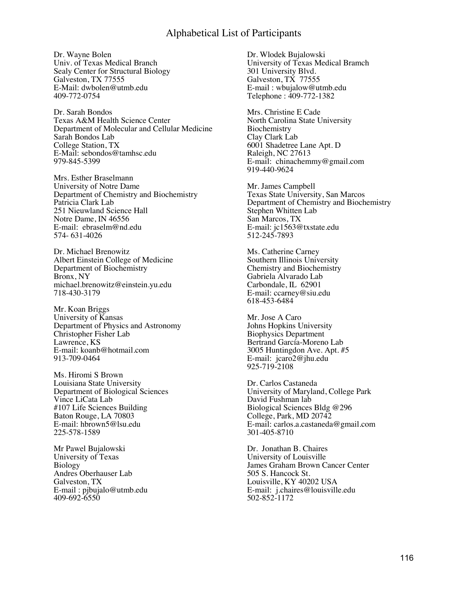Dr. Wayne Bolen Univ. of Texas Medical Branch Sealy Center for Structural Biology Galveston, TX 77555 E-Mail: [dwbolen@utmb.edu](mailto:dwbolen@utmb.edu) 409-772-0754

Dr. Sarah Bondos Texas A&M Health Science Center Department of Molecular and Cellular Medicine Sarah Bondos Lab College Station, TX E-Mail: [sebondos@tamhsc.edu](mailto:sebondos@tamhsc.edu) 979-845-5399

Mrs. Esther Braselmann University of Notre Dame Department of Chemistry and Biochemistry Patricia Clark Lab 251 Nieuwland Science Hall Notre Dame, IN 46556 E-mail: ebraselm@nd.edu 574- 631-4026

Dr. Michael Brenowitz Albert Einstein College of Medicine Department of Biochemistry Bronx, NY michael.brenowitz@einstein.yu.edu 718-430-3179

Mr. Koan Briggs University of Kansas Department of Physics and Astronomy Christopher Fisher Lab Lawrence, KS E-mail: [koanb@hotmail.com](mailto:koanb@hotmail.com) 913-709-0464

Ms. Hiromi S Brown Louisiana State University Department of Biological Sciences Vince LiCata Lab #107 Life Sciences Building Baton Rouge, LA 70803 E-mail: hbrown5@lsu.edu 225-578-1589

Mr Pawel Bujalowski University of Texas Biology Andres Oberhauser Lab Galveston, TX E-mail : [pjbujalo@utmb.edu](mailto:pjbujalo@utmb.edu) 409-692-6550

Dr. Wlodek Bujalowski University of Texas Medical Bramch 301 University Blvd. Galveston, TX 77555 E-mail : [wbujalow@utmb.edu](mailto:wbujalow@utmb.edu) Telephone : 409-772-1382

Mrs. Christine E Cade North Carolina State University Biochemistry Clay Clark Lab 6001 Shadetree Lane Apt. D Raleigh, NC 27613 E-mail: chinachemmy@gmail.com 919-440-9624

Mr. James Campbell Texas State University, San Marcos Department of Chemistry and Biochemistry Stephen Whitten Lab San Marcos, TX E-mail: [jc1563@txstate.edu](mailto:jc1563@txstate.edu) 512-245-7893

Ms. Catherine Carney Southern Illinois University Chemistry and Biochemistry Gabriela Alvarado Lab Carbondale, IL 62901 E-mail: [ccarney@siu.edu](mailto:ccarney@siu.edu) 618-453-6484

Mr. Jose A Caro Johns Hopkins University Biophysics Department Bertrand García-Moreno Lab 3005 Huntingdon Ave. Apt. #5 E-mail: jcaro2@jhu.edu 925-719-2108

Dr. Carlos Castaneda University of Maryland, College Park David Fushman lab Biological Sciences Bldg @296 College, Park, MD 20742 E-mail: carlos.a.castaneda@gmail.com 301-405-8710

Dr. Jonathan B. Chaires University of Louisville James Graham Brown Cancer Center 505 S. Hancock St. Louisville, KY 40202 USA E-mail: j.chaires@louisville.edu 502-852-1172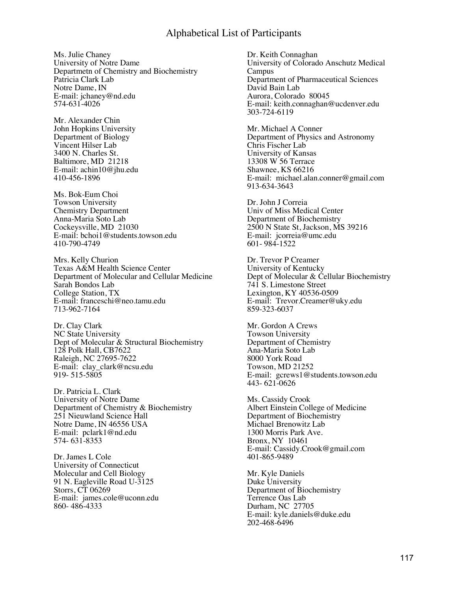Ms. Julie Chaney University of Notre Dame Departmetn of Chemistry and Biochemistry Patricia Clark Lab Notre Dame, IN E-mail: [jchaney@nd.edu](mailto:jchaney@nd.edu) 574-631-4026

Mr. Alexander Chin John Hopkins University Department of Biology Vincent Hilser Lab 3400 N. Charles St. Baltimore, MD 21218 E-mail: [achin10@jhu.edu](mailto:achin10@jhu.edu) 410-456-1896

Ms. Bok-Eum Choi Towson University Chemistry Department Anna-Maria Soto Lab Cockeysville, MD 21030 E-mail: [bchoi1@students.towson.edu](mailto:bchoi1@students.towson.edu) 410-790-4749

Mrs. Kelly Churion Texas A&M Health Science Center Department of Molecular and Cellular Medicine Sarah Bondos Lab College Station, TX E-mail: [franceschi@neo.tamu.edu](mailto:franceschi@neo.tamu.edu) 713-962-7164

Dr. Clay Clark NC State University Dept of Molecular & Structural Biochemistry 128 Polk Hall, CB7622 Raleigh, NC 27695-7622 E-mail: clay\_clark@ncsu.edu 919- 515-5805

Dr. Patricia L. Clark University of Notre Dame Department of Chemistry & Biochemistry 251 Nieuwland Science Hall Notre Dame, IN 46556 USA E-mail: pclark1@nd.edu 574- 631-8353

Dr. James L Cole University of Connecticut Molecular and Cell Biology 91 N. Eagleville Road U-3125 Storrs, CT 06269 E-mail: james.cole@uconn.edu 860- 486-4333

Dr. Keith Connaghan University of Colorado Anschutz Medical Campus Department of Pharmaceutical Sciences David Bain Lab Aurora, Colorado 80045 E-mail: keith.connaghan@ucdenver.edu 303-724-6119

Mr. Michael A Conner Department of Physics and Astronomy Chris Fischer Lab University of Kansas 13308 W 56 Terrace Shawnee, KS 66216 E-mail: michael.alan.conner@gmail.com 913-634-3643

Dr. John J Correia Univ of Miss Medical Center Department of Biochemistry 2500 N State St, Jackson, MS 39216 E-mail: jcorreia@umc.edu 601- 984-1522

Dr. Trevor P Creamer University of Kentucky Dept of Molecular & Cellular Biochemistry 741 S. Limestone Street Lexington, KY 40536-0509 E-mail: Trevor.Creamer@uky.edu 859-323-6037

Mr. Gordon A Crews Towson University Department of Chemistry Ana-Maria Soto Lab 8000 York Road Towson, MD 21252 E-mail: gcrews1@students.towson.edu 443- 621-0626

Ms. Cassidy Crook Albert Einstein College of Medicine Department of Biochemistry Michael Brenowitz Lab 1300 Morris Park Ave. Bronx, NY 10461 E-mail: [Cassidy.Crook@gmail.com](mailto:Cassidy.Crook@gmail.com) 401-865-9489

Mr. Kyle Daniels Duke University Department of Biochemistry Terrence Oas Lab Durham, NC 27705 E-mail: [kyle.daniels@duke.edu](mailto:kyle.daniels@duke.edu) 202-468-6496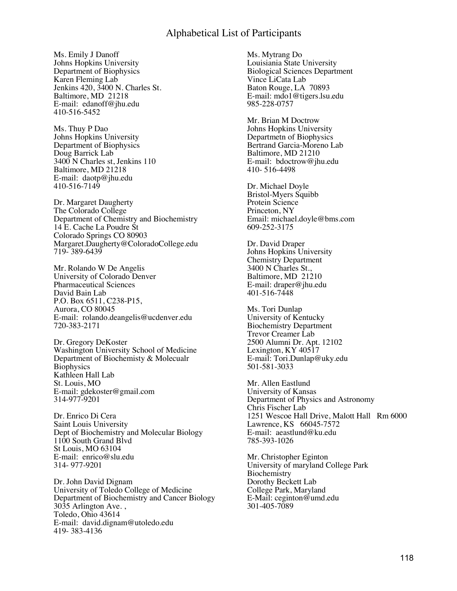Ms. Emily J Danoff Johns Hopkins University Department of Biophysics Karen Fleming Lab Jenkins 420, 3400 N. Charles St. Baltimore, MD 21218 E-mail: edanoff@jhu.edu 410-516-5452

Ms. Thuy P Dao Johns Hopkins University Department of Biophysics Doug Barrick Lab 3400 N Charles st, Jenkins 110 Baltimore, MD 21218 E-mail: daotp@jhu.edu 410-516-7149

Dr. Margaret Daugherty The Colorado College Department of Chemistry and Biochemistry 14 E. Cache La Poudre St Colorado Springs CO 80903 Margaret.Daugherty@ColoradoCollege.edu 719- 389-6439

Mr. Rolando W De Angelis University of Colorado Denver Pharmaceutical Sciences David Bain Lab P.O. Box 6511, C238-P15, Aurora, CO 80045 E-mail: rolando.deangelis@ucdenver.edu 720-383-2171

Dr. Gregory DeKoster Washington University School of Medicine Department of Biochemisty & Molecualr **Biophysics** Kathleen Hall Lab St. Louis, MO E-mail: [gdekoster@gmail.com](mailto:gdekoster@gmail.com) 314-977-9201

Dr. Enrico Di Cera Saint Louis University Dept of Biochemistry and Molecular Biology 1100 South Grand Blvd St Louis, MO 63104 E-mail: enrico@slu.edu 314- 977-9201

Dr. John David Dignam University of Toledo College of Medicine Department of Biochemistry and Cancer Biology 3035 Arlington Ave. , Toledo, Ohio 43614 E-mail: david.dignam@utoledo.edu 419- 383-4136

Ms. Mytrang Do Louisiania State University Biological Sciences Department Vince LiCata Lab Baton Rouge, LA 70893 E-mail: [mdo1@tigers.lsu.edu](mailto:mdo1@tigers.lsu.edu) 985-228-0757

Mr. Brian M Doctrow Johns Hopkins University Departmetn of Biophysics Bertrand Garcia-Moreno Lab Baltimore, MD 21210 E-mail: bdoctrow@jhu.edu 410- 516-4498

Dr. Michael Doyle Bristol-Myers Squibb Protein Science Princeton, NY Email: [michael.doyle@bms.com](mailto:michael.doyle@bms.com) 609-252-3175

Dr. David Draper Johns Hopkins University Chemistry Department 3400 N Charles St., Baltimore, MD 21210 E-mail: draper@jhu.edu 401-516-7448

Ms. Tori Dunlap University of Kentucky Biochemistry Department Trevor Creamer Lab 2500 Alumni Dr. Apt. 12102 Lexington, KY 40517 E-mail: Tori.Dunlap@uky.edu 501-581-3033

Mr. Allen Eastlund University of Kansas Department of Physics and Astronomy Chris Fischer Lab 1251 Wescoe Hall Drive, Malott Hall Rm 6000 Lawrence, KS 66045-7572 E-mail: aeastlund@ku.edu 785-393-1026

Mr. Christopher Eginton University of maryland College Park Biochemistry Dorothy Beckett Lab College Park, Maryland E-Mail: [ceginton@umd.edu](mailto:ceginton@umd.edu) 301-405-7089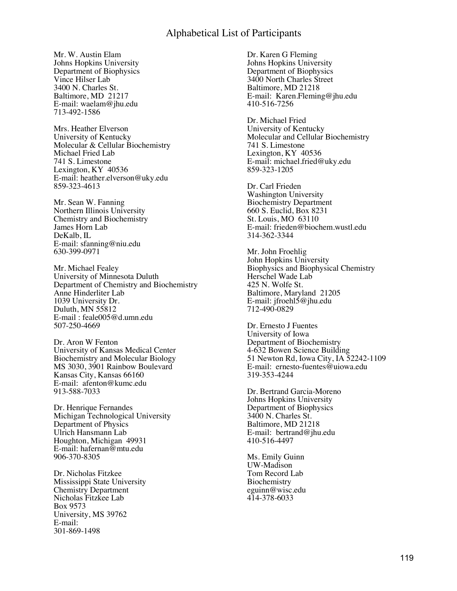Mr. W. Austin Elam Johns Hopkins University Department of Biophysics Vince Hilser Lab 3400 N. Charles St. Baltimore, MD 21217 E-mail: [waelam@jhu.edu](mailto:waelam@jhu.edu) 713-492-1586

Mrs. Heather Elverson University of Kentucky Molecular & Cellular Biochemistry Michael Fried Lab 741 S. Limestone Lexington, KY 40536 E-mail: heather.elverson@uky.edu 859-323-4613

Mr. Sean W. Fanning Northern Illinois University Chemistry and Biochemistry James Horn Lab DeKalb, IL E-mail: sfanning@niu.edu 630-399-0971

Mr. Michael Fealey University of Minnesota Duluth Department of Chemistry and Biochemistry Anne Hinderliter Lab 1039 University Dr. Duluth, MN 55812 E-mail : [feale005@d.umn.edu](mailto:feale005@d.umn.edu) 507-250-4669

Dr. Aron W Fenton University of Kansas Medical Center Biochemistry and Molecular Biology MS 3030, 3901 Rainbow Boulevard Kansas City, Kansas 66160 E-mail: afenton@kumc.edu 913-588-7033

Dr. Henrique Fernandes Michigan Technological University Department of Physics Ulrich Hansmann Lab Houghton, Michigan 49931 E-mail: [hafernan@mtu.edu](mailto:hafernan@mtu.edu) 906-370-8305

Dr. Nicholas Fitzkee Mississippi State University Chemistry Department Nicholas Fitzkee Lab Box 9573 University, MS 39762 E-mail: 301-869-1498

Dr. Karen G Fleming Johns Hopkins University Department of Biophysics 3400 North Charles Street Baltimore, MD 21218 E-mail: Karen.Fleming@jhu.edu 410-516-7256

Dr. Michael Fried University of Kentucky Molecular and Cellular Biochemistry 741 S. Limestone Lexington, KY 40536 E-mail: [michael.fried@uky.edu](mailto:michael.fried@uky.edu) 859-323-1205

Dr. Carl Frieden Washington University Biochemistry Department 660 S. Euclid, Box 8231 St. Louis, MO 63110 E-mail: [frieden@biochem.wustl.edu](mailto:frieden@biochem.wustl.edu) 314-362-3344

Mr. John Froehlig John Hopkins University Biophysics and Biophysical Chemistry Herschel Wade Lab 425 N. Wolfe St. Baltimore, Maryland 21205 E-mail: [jfroehl5@jhu.edu](mailto:jfroehl5@jhu.edu) 712-490-0829

Dr. Ernesto J Fuentes University of Iowa Department of Biochemistry 4-632 Bowen Science Building 51 Newton Rd, Iowa City, IA 52242-1109 E-mail: ernesto-fuentes@uiowa.edu 319-353-4244

Dr. Bertrand Garcia-Moreno Johns Hopkins University Department of Biophysics 3400 N. Charles St. Baltimore, MD 21218 E-mail: bertrand@jhu.edu 410-516-4497

Ms. Emily Guinn UW-Madison Tom Record Lab Biochemistry eguinn@wisc.edu 414-378-6033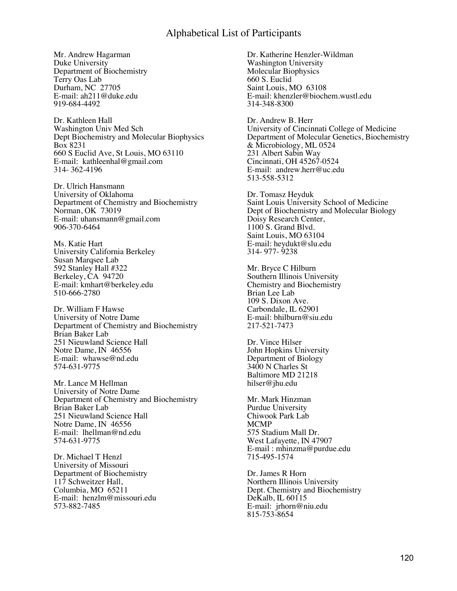Mr. Andrew Hagarman Duke University Department of Biochemistry Terry Oas Lab Durham, NC 27705 E-mail: [ah211@duke.edu](mailto:ah211@duke.edu) 919-684-4492

Dr. Kathleen Hall Washington Univ Med Sch Dept Biochemistry and Molecular Biophysics Box 8231 660 S Euclid Ave, St Louis, MO 63110 E-mail: kathleenhal@gmail.com 314- 362-4196

Dr. Ulrich Hansmann University of Oklahoma Department of Chemistry and Biochemistry Norman, OK 73019 E-mail: [uhansmann@gmail.com](mailto:uhansmann@gmail.com) 906-370-6464

Ms. Katie Hart University California Berkeley Susan Marqsee Lab 592 Stanley Hall #322 Berkeley, CA 94720 E-mail: [kmhart@berkeley.edu](mailto:kmhart@berkeley.edu) 510-666-2780

Dr. William F Hawse University of Notre Dame Department of Chemistry and Biochemistry Brian Baker Lab 251 Nieuwland Science Hall Notre Dame, IN 46556 E-mail: whawse@nd.edu 574-631-9775

Mr. Lance M Hellman University of Notre Dame Department of Chemistry and Biochemistry Brian Baker Lab 251 Nieuwland Science Hall Notre Dame, IN 46556 E-mail: lhellman@nd.edu 574-631-9775

Dr. Michael T Henzl University of Missouri Department of Biochemistry 117 Schweitzer Hall, Columbia, MO 65211 E-mail: henzlm@missouri.edu 573-882-7485

Dr. Katherine Henzler-Wildman Washington University Molecular Biophysics 660 S. Euclid Saint Louis, MO 63108 E-mail: khenzler@biochem.wustl.edu 314-348-8300

Dr. Andrew B. Herr University of Cincinnati College of Medicine Department of Molecular Genetics, Biochemistry & Microbiology, ML 0524 231 Albert Sabin Way Cincinnati, OH 45267-0524 E-mail: andrew.herr@uc.edu 513-558-5312

Dr. Tomasz Heyduk Saint Louis University School of Medicine Dept of Biochemistry and Molecular Biology Doisy Research Center, 1100 S. Grand Blvd. Saint Louis, MO 63104 E-mail: heydukt@slu.edu 314- 977- 9238

Mr. Bryce C Hilburn Southern Illinois University Chemistry and Biochemistry Brian Lee Lab 109 S. Dixon Ave. Carbondale, IL 62901 E-mail: bhilburn@siu.edu 217-521-7473

Dr. Vince Hilser John Hopkins University Department of Biology 3400 N Charles St Baltimore MD 21218 hilser@jhu.edu

Mr. Mark Hinzman Purdue University Chiwook Park Lab MCMP 575 Stadium Mall Dr. West Lafayette, IN 47907 E-mail : [mhinzma@purdue.edu](mailto:mhinzma@purdue.edu) 715-495-1574

Dr. James R Horn Northern Illinois University Dept. Chemistry and Biochemistry DeKalb, IL 60115 E-mail: jrhorn@niu.edu 815-753-8654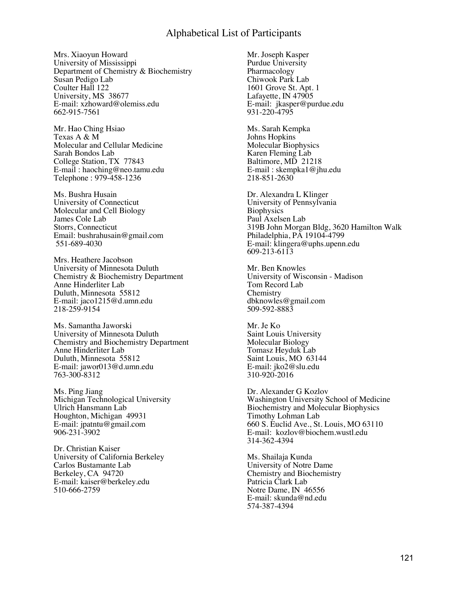Mrs. Xiaoyun Howard University of Mississippi Department of Chemistry & Biochemistry Susan Pedigo Lab Coulter Hall 122 University, MS 38677 E-mail: [xzhoward@olemiss.edu](mailto:xzhoward@olemiss.edu) 662-915-7561

Mr. Hao Ching Hsiao Texas A & M Molecular and Cellular Medicine Sarah Bondos Lab College Station, TX 77843 E-mail : [haoching@neo.tamu.edu](mailto:haoching@neo.tamu.edu) Telephone : 979-458-1236

Ms. Bushra Husain University of Connecticut Molecular and Cell Biology James Cole Lab Storrs, Connecticut Email: [bushrahusain@gmail.com](mailto:bushrahusain@gmail.com) 551-689-4030

Mrs. Heathere Jacobson University of Minnesota Duluth Chemistry & Biochemistry Department Anne Hinderliter Lab Duluth, Minnesota 55812 E-mail: [jaco1215@d.umn.edu](mailto:jaco1215@d.umn.edu) 218-259-9154

Ms. Samantha Jaworski University of Minnesota Duluth Chemistry and Biochemistry Department Anne Hinderliter Lab Duluth, Minnesota 55812 E-mail: [jawor013@d.umn.edu](mailto:jawor013@d.umn.edu) 763-300-8312

Ms. Ping Jiang Michigan Technological University Ulrich Hansmann Lab Houghton, Michigan 49931 E-mail: [jpatntu@gmail.com](mailto:jpatntu@gmail.com) 906-231-3902

Dr. Christian Kaiser University of California Berkeley Carlos Bustamante Lab Berkeley, CA 94720 E-mail: [kaiser@berkeley.edu](mailto:kaiser@berkeley.edu) 510-666-2759

Mr. Joseph Kasper Purdue University Pharmacology Chiwook Park Lab 1601 Grove St. Apt. 1 Lafayette, IN  $47905$ E-mail: jkasper@purdue.edu 931-220-4795

Ms. Sarah Kempka Johns Hopkins Molecular Biophysics Karen Fleming Lab Baltimore, MD 21218 E-mail : [skempka1@jhu.edu](mailto:skempka1@jhu.edu) 218-851-2630

Dr. Alexandra L Klinger University of Pennsylvania **Biophysics** Paul Axelsen Lab 319B John Morgan Bldg, 3620 Hamilton Walk Philadelphia, PA 19104-4799 E-mail: klingera@uphs.upenn.edu 609-213-6113

Mr. Ben Knowles University of Wisconsin - Madison Tom Record Lab **Chemistry** dbknowles@gmail.com 509-592-8883

Mr. Je Ko Saint Louis University Molecular Biology Tomasz Heyduk Lab Saint Louis, MO 63144 E-mail: [jko2@slu.edu](mailto:jko2@slu.edu) 310-920-2016

Dr. Alexander G Kozlov Washington University School of Medicine Biochemistry and Molecular Biophysics Timothy Lohman Lab 660 S. Euclid Ave., St. Louis, MO 63110 E-mail: kozlov@biochem.wustl.edu 314-362-4394

Ms. Shailaja Kunda University of Notre Dame Chemistry and Biochemistry Patricia Clark Lab Notre Dame, IN 46556 E-mail: [skunda@nd.edu](mailto:skunda@nd.edu) 574-387-4394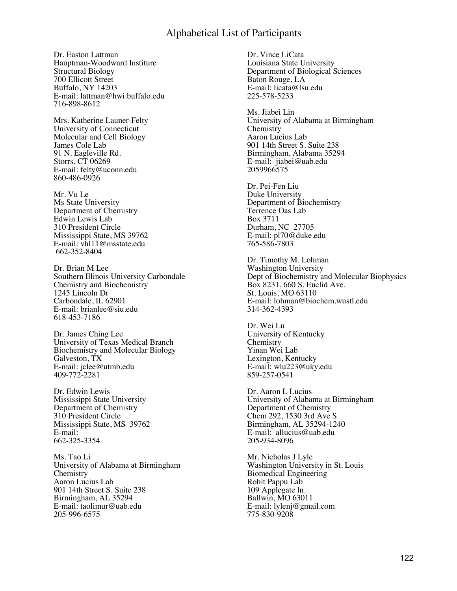Dr. Easton Lattman Hauptman-Woodward Institure Structural Biology 700 Ellicott Street Buffalo, NY 14203 E-mail: lattman@hwi.buffalo.edu 716-898-8612

Mrs. Katherine Launer-Felty University of Connecticut Molecular and Cell Biology James Cole Lab 91 N. Eagleville Rd. Storrs, CT 06269 E-mail: [felty@uconn.edu](mailto:felty@uconn.edu) 860-486-0926

Mr. Vu Le Ms State University Department of Chemistry Edwin Lewis Lab 310 President Circle Mississippi State, MS 39762 E-mail: [vhl11@msstate.edu](mailto:vhl@msstate.edu) 662-352-8404

Dr. Brian M Lee Southern Illinois University Carbondale Chemistry and Biochemistry 1245 Lincoln Dr Carbondale, IL 62901 E-mail: brianlee@siu.edu 618-453-7186

Dr. James Ching Lee University of Texas Medical Branch Biochemistry and Molecular Biology Galveston, TX E-mail: [jclee@utmb.edu](mailto:jclee@utmb.edu) 409-772-2281

Dr. Edwin Lewis Mississippi State University Department of Chemistry 310 President Circle Mississippi State, MS 39762 E-mail: 662-325-3354

Ms. Tao Li University of Alabama at Birmingham **Chemistry** Aaron Lucius Lab 901 14th Street S. Suite 238 Birmingham, AL 35294 E-mail: taolimur@uab.edu 205-996-6575

Dr. Vince LiCata Louisiana State University Department of Biological Sciences Baton Rouge, LA E-mail: [licata@lsu.edu](mailto:licata@lsu.edu) 225-578-5233

Ms. Jiabei Lin University of Alabama at Birmingham **Chemistry** Aaron Lucius Lab 901 14th Street S. Suite 238 Birmingham, Alabama 35294 E-mail: jiabei@uab.edu 2059966575

Dr. Pei-Fen Liu Duke University Department of Biochemistry Terrence Oas Lab Box 3711 Durham, NC 27705 E-mail: [pl70@duke.edu](mailto:pl70@duke.edu) 765-586-7803

Dr. Timothy M. Lohman Washington University Dept of Biochemistry and Molecular Biophysics Box 8231, 660 S. Euclid Ave. St. Louis, MO 63110 E-mail: lohman@biochem.wustl.edu 314-362-4393

Dr. Wei Lu University of Kentucky **Chemistry** Yinan Wei Lab Lexington, Kentucky E-mail: [wlu223@uky.edu](mailto:wlu223@uky.edu) 859-257-0541

Dr. Aaron L Lucius University of Alabama at Birmingham Department of Chemistry Chem 292, 1530 3rd Ave S Birmingham, AL 35294-1240 E-mail: allucius@uab.edu 205-934-8096

Mr. Nicholas J Lyle Washington University in St. Louis Biomedical Engineering Rohit Pappu Lab 109 Applegate ln. Ballwin, MO 63011 E-mail: lylenj@gmail.com 775-830-9208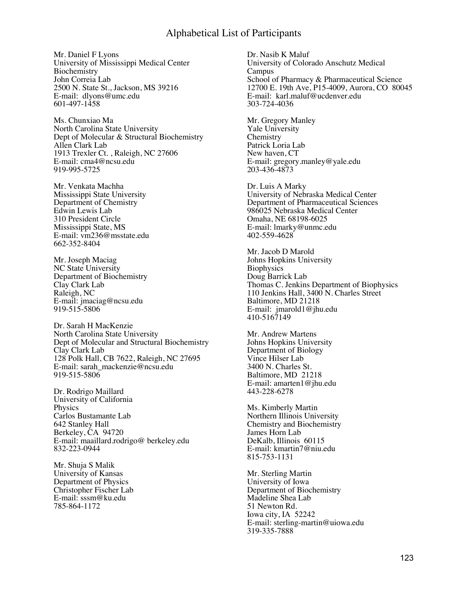Mr. Daniel F Lyons University of Mississippi Medical Center **Biochemistry** John Correia Lab 2500 N. State St., Jackson, MS 39216 E-mail: dlyons@umc.edu 601-497-1458

Ms. Chunxiao Ma North Carolina State University Dept of Molecular & Structural Biochemistry Allen Clark Lab 1913 Trexler Ct. , Raleigh, NC 27606 E-mail: cma4@ncsu.edu 919-995-5725

Mr. Venkata Machha Mississippi State University Department of Chemistry Edwin Lewis Lab 310 President Circle Mississippi State, MS E-mail: [vm236@msstate.edu](mailto:vm236@msstate.edu) 662-352-8404

Mr. Joseph Maciag NC State University Department of Biochemistry Clay Clark Lab Raleigh, NC E-mail: [jmaciag@ncsu.edu](mailto:jmaciag@ncsu.edu) 919-515-5806

Dr. Sarah H MacKenzie North Carolina State University Dept of Molecular and Structural Biochemistry Clay Clark Lab 128 Polk Hall, CB 7622, Raleigh, NC 27695 E-mail: sarah\_mackenzie@ncsu.edu 919-515-5806

Dr. Rodrigo Maillard University of California Physics Carlos Bustamante Lab 642 Stanley Hall Berkeley, CA 94720 E-mail: maaillard.rodrigo@ berkeley.edu 832-223-0944

Mr. Shuja S Malik University of Kansas Department of Physics Christopher Fischer Lab E-mail: sssm@ku.edu 785-864-1172

Dr. Nasib K Maluf University of Colorado Anschutz Medical Campus School of Pharmacy & Pharmaceutical Science 12700 E. 19th Ave, P15-4009, Aurora, CO 80045 E-mail: karl.maluf@ucdenver.edu 303-724-4036

Mr. Gregory Manley Yale University **Chemistry** Patrick Loria Lab New haven, CT E-mail: [gregory.manley@yale.edu](mailto:gregory.manley@yale.edu) 203-436-4873

Dr. Luis A Marky University of Nebraska Medical Center Department of Pharmaceutical Sciences 986025 Nebraska Medical Center Omaha, NE 68198-6025 E-mail: lmarky@unmc.edu 402-559-4628

Mr. Jacob D Marold Johns Hopkins University **Biophysics** Doug Barrick Lab Thomas C. Jenkins Department of Biophysics 110 Jenkins Hall, 3400 N. Charles Street Baltimore, MD 21218 E-mail: jmarold1@jhu.edu 410-5167149

Mr. Andrew Martens Johns Hopkins University Department of Biology Vince Hilser Lab 3400 N. Charles St. Baltimore, MD 21218 E-mail: [amarten1@jhu.edu](mailto:amarten1@jhu.edu) 443-228-6278

Ms. Kimberly Martin Northern Illinois University Chemistry and Biochemistry James Horn Lab DeKalb, Illinois 60115 E-mail: [kmartin7@niu.edu](mailto:kmartin7@niu.edu) 815-753-1131

Mr. Sterling Martin University of Iowa Department of Biochemistry Madeline Shea Lab 51 Newton Rd. Iowa city, IA 52242 E-mail: sterling-martin@uiowa.edu 319-335-7888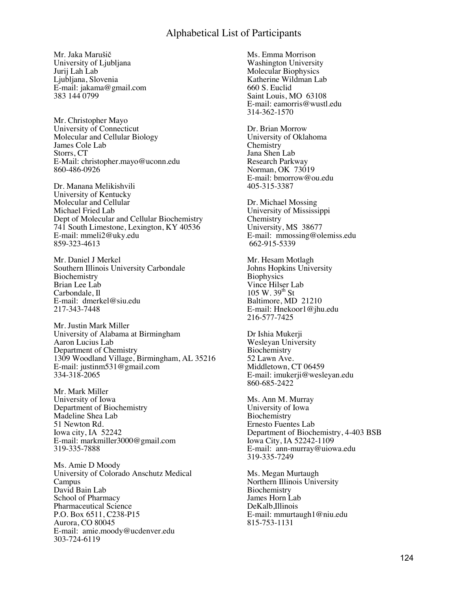Mr. Jaka Marušič University of Ljubljana Jurij Lah Lab Ljubljana, Slovenia E-mail: [jakama@gmail.com](mailto:jakama@gmail.com) 383 144 0799

Mr. Christopher Mayo University of Connecticut Molecular and Cellular Biology James Cole Lab Storrs, CT E-Mail: [christopher.mayo@uconn.edu](mailto:christopher.mayo@uconn.edu) 860-486-0926

Dr. Manana Melikishvili University of Kentucky Molecular and Cellular Michael Fried Lab Dept of Molecular and Cellular Biochemistry 741 South Limestone, Lexington, KY 40536 E-mail: mmeli2@uky.edu 859-323-4613

Mr. Daniel J Merkel Southern Illinois University Carbondale Biochemistry Brian Lee Lab Carbondale, Il E-mail: dmerkel@siu.edu 217-343-7448

Mr. Justin Mark Miller University of Alabama at Birmingham Aaron Lucius Lab Department of Chemistry 1309 Woodland Village, Birmingham, AL 35216 E-mail: justinm531@gmail.com 334-318-2065

Mr. Mark Miller University of Iowa Department of Biochemistry Madeline Shea Lab 51 Newton Rd. Iowa city, IA 52242 E-mail: [markmiller3000@gmail.com](mailto:markmiller3000@gmail.com) 319-335-7888

Ms. Amie D Moody University of Colorado Anschutz Medical Campus David Bain Lab School of Pharmacy Pharmaceutical Science P.O. Box 6511, C238-P15 Aurora, CO 80045 E-mail: amie.moody@ucdenver.edu 303-724-6119

Ms. Emma Morrison Washington University Molecular Biophysics Katherine Wildman Lab 660 S. Euclid Saint Louis, MO 63108 E-mail: [eamorris@wustl.edu](mailto:eamorris@wustl.edu) 314-362-1570

Dr. Brian Morrow University of Oklahoma **Chemistry** Jana Shen Lab Research Parkway Norman, OK 73019 E-mail: [bmorrow@ou.edu](mailto:bmorrow@ou.edu) 405-315-3387

Dr. Michael Mossing University of Mississippi Chemistry University, MS 38677 E-mail: [mmossing@olemiss.edu](mailto:mmossing@olemiss.edu) 662-915-5339

Mr. Hesam Motlagh Johns Hopkins University **Biophysics** Vince Hilser Lab  $105 W. 39<sup>th</sup> St$ Baltimore, MD 21210 E-mail: [Hnekoor1@jhu.edu](mailto:Hnekoor1@jhu.edu) 216-577-7425

Dr Ishia Mukerji Wesleyan University Biochemistry 52 Lawn Ave. Middletown, CT 06459 E-mail: [imukerji@wesleyan.edu](mailto:imukerji@wesleyan.edu) 860-685-2422

Ms. Ann M. Murray University of Iowa **Biochemistry** Ernesto Fuentes Lab Department of Biochemistry, 4-403 BSB Iowa City, IA 52242-1109 E-mail: ann-murray@uiowa.edu 319-335-7249

Ms. Megan Murtaugh Northern Illinois University Biochemistry James Horn Lab DeKalb,Illinois E-mail: [mmurtaugh1@niu.edu](mailto:mmurtaugh1@niu.edu) 815-753-1131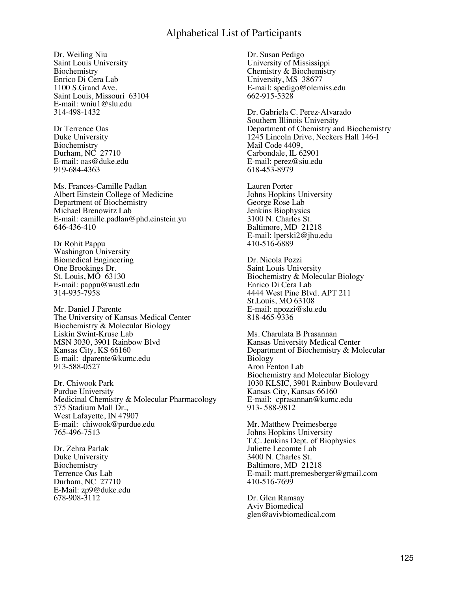Dr. Weiling Niu Saint Louis University Biochemistry Enrico Di Cera Lab 1100 S.Grand Ave. Saint Louis, Missouri 63104 E-mail: [wniu1@slu.edu](mailto:wniu1@slu.edu) 314-498-1432

Dr Terrence Oas Duke University Biochemistry Durham, NC 27710 E-mail: [oas@duke.edu](mailto:oas@duke.edu) 919-684-4363

Ms. Frances-Camille Padlan Albert Einstein College of Medicine Department of Biochemistry Michael Brenowitz Lab E-mail: [camille.padlan@phd.einstein.yu](mailto:camille.padlan@phd.einstein.yu) 646-436-410

Dr Rohit Pappu Washington University Biomedical Engineering One Brookings Dr. St. Louis, MO 63130 E-mail: [pappu@wustl.edu](mailto:pappu@wustl.edu) 314-935-7958

Mr. Daniel J Parente The University of Kansas Medical Center Biochemistry & Molecular Biology Liskin Swint-Kruse Lab MSN 3030, 3901 Rainbow Blvd Kansas City, KS 66160 E-mail: dparente@kumc.edu 913-588-0527

Dr. Chiwook Park Purdue University Medicinal Chemistry & Molecular Pharmacology 575 Stadium Mall Dr., West Lafayette, IN 47907 E-mail: chiwook@purdue.edu 765-496-7513

Dr. Zehra Parlak Duke University Biochemistry Terrence Oas Lab Durham, NC 27710 E-Mail: [zp9@duke.edu](mailto:zp9@duke.edu) 678-908-3112

Dr. Susan Pedigo University of Mississippi Chemistry & Biochemistry University, MS 38677 E-mail: [spedigo@olemiss.edu](mailto:spedigo@olemiss.edu) 662-915-5328

Dr. Gabriela C. Perez-Alvarado Southern Illinois University Department of Chemistry and Biochemistry 1245 Lincoln Drive, Neckers Hall 146-I Mail Code 4409, Carbondale, IL 62901 E-mail: perez@siu.edu 618-453-8979

Lauren Porter Johns Hopkins University George Rose Lab Jenkins Biophysics 3100 N. Charles St. Baltimore, MD 21218 E-mail: lperski2@jhu.edu 410-516-6889

Dr. Nicola Pozzi Saint Louis University Biochemistry & Molecular Biology Enrico Di Cera Lab 4444 West Pine Blvd. APT 211 St.Louis, MO 63108 E-mail: npozzi@slu.edu 818-465-9336

Ms. Charulata B Prasannan Kansas University Medical Center Department of Biochemistry & Molecular Biology Aron Fenton Lab Biochemistry and Molecular Biology 1030 KLSIC, 3901 Rainbow Boulevard Kansas City, Kansas 66160 E-mail: cprasannan@kumc.edu 913- 588-9812

Mr. Matthew Preimesberge Johns Hopkins University T.C. Jenkins Dept. of Biophysics Juliette Lecomte Lab 3400 N. Charles St. Baltimore, MD 21218 E-mail: [matt.premesberger@gmail.com](mailto:matt.premesberger@gmail.com) 410-516-7699

Dr. Glen Ramsay Aviv Biomedical glen@avivbiomedical.com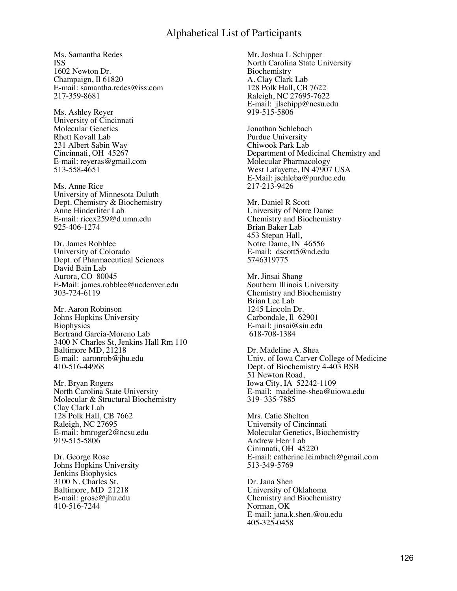Ms. Samantha Redes ISS 1602 Newton Dr. Champaign, Il 61820 E-mail: [samantha.redes@iss.com](mailto:samantha.redes@iss.com) 217-359-8681

Ms. Ashley Reyer University of Cincinnati Molecular Genetics Rhett Kovall Lab 231 Albert Sabin Way Cincinnati, OH 45267 E-mail: [reyeras@gmail.com](mailto:reyeras@gmail.com) 513-558-4651

Ms. Anne Rice University of Minnesota Duluth Dept. Chemistry & Biochemistry Anne Hinderliter Lab E-mail: [ricex259@d.umn.edu](mailto:ricex259@d.umn.edu) 925-406-1274

Dr. James Robblee University of Colorado Dept. of Pharmaceutical Sciences David Bain Lab Aurora, CO 80045 E-Mail: [james.robblee@ucdenver.edu](mailto:james.robblee@ucdenver.edu) 303-724-6119

Mr. Aaron Robinson Johns Hopkins University **Biophysics** Bertrand Garcia-Moreno Lab 3400 N Charles St, Jenkins Hall Rm 110 Baltimore MD, 21218 E-mail: aaronrob@jhu.edu 410-516-44968

Mr. Bryan Rogers North Carolina State University Molecular & Structural Biochemistry Clay Clark Lab 128 Polk Hall, CB 7662 Raleigh, NC 27695 E-mail: [bmroger2@ncsu.edu](mailto:bmroger2@ncsu.edu) 919-515-5806

Dr. George Rose Johns Hopkins University Jenkins Biophysics 3100 N. Charles St. Baltimore, MD 21218 E-mail: [grose@jhu.edu](mailto:grose@jhu.edu) 410-516-7244

Mr. Joshua L Schipper North Carolina State University Biochemistry A. Clay Clark Lab 128 Polk Hall, CB 7622 Raleigh, NC 27695-7622 E-mail: jlschipp@ncsu.edu 919-515-5806

Jonathan Schlebach Purdue University Chiwook Park Lab Department of Medicinal Chemistry and Molecular Pharmacology West Lafayette, IN 47907 USA E-Mail: [jschleba@purdue.edu](https://webmail.oregonstate.edu/horde/imp/message.php?mailbox=INBOX&index=1069) 217-213-9426

Mr. Daniel R Scott University of Notre Dame Chemistry and Biochemistry Brian Baker Lab 453 Stepan Hall, Notre Dame, IN 46556 E-mail: dscott5@nd.edu 5746319775

Mr. Jinsai Shang Southern Illinois University Chemistry and Biochemistry Brian Lee Lab 1245 Lincoln Dr. Carbondale, Il 62901 E-mail: [jinsai@siu.edu](mailto:jinsai@siu.edu) 618-708-1384

Dr. Madeline A. Shea Univ. of Iowa Carver College of Medicine Dept. of Biochemistry 4-403 BSB 51 Newton Road, Iowa City, IA 52242-1109 E-mail: madeline-shea@uiowa.edu 319- 335-7885

Mrs. Catie Shelton University of Cincinnati Molecular Genetics, Biochemistry Andrew Herr Lab Cininnati, OH 45220 E-mail: [catherine.leimbach@gmail.com](mailto:catherine.leimbach@gmail.com) 513-349-5769

Dr. Jana Shen University of Oklahoma Chemistry and Biochemistry Norman, OK E-mail: [jana.k.shen.@ou.edu](mailto:jana.k.shen.@ou.edu) 405-325-0458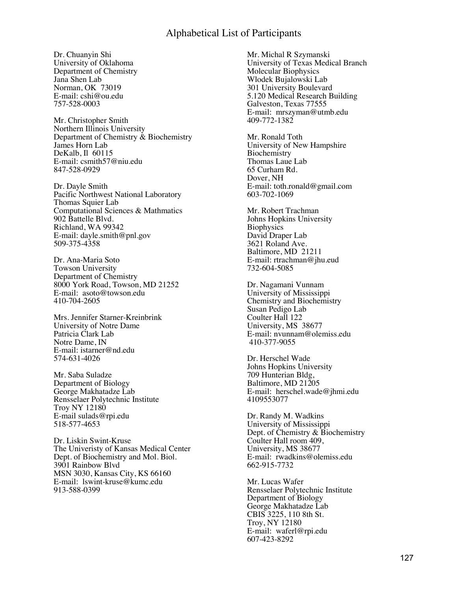Dr. Chuanyin Shi University of Oklahoma Department of Chemistry Jana Shen Lab Norman, OK 73019 E-mail: [cshi@ou.edu](mailto:cshi@ou.edu) 757-528-0003

Mr. Christopher Smith Northern Illinois University Department of Chemistry  $\&$  Biochemistry James Horn Lab DeKalb, Il 60115 E-mail: [csmith57@niu.edu](mailto:csmith57@niu.edu) 847-528-0929

Dr. Dayle Smith Pacific Northwest National Laboratory Thomas Squier Lab Computational Sciences & Mathmatics 902 Battelle Blvd. Richland, WA 99342 E-mail: [dayle.smith@pnl.gov](mailto:dayle.smith@pnl.gov) 509-375-4358

Dr. Ana-Maria Soto Towson University Department of Chemistry 8000 York Road, Towson, MD 21252 E-mail: asoto@towson.edu 410-704-2605

Mrs. Jennifer Starner-Kreinbrink University of Notre Dame Patricia Clark Lab Notre Dame, IN E-mail: [istarner@nd.edu](mailto:istarner@nd.edu) 574-631-4026

Mr. Saba Suladze Department of Biology George Makhatadze Lab Rensselaer Polytechnic Institute Troy NY 12180 E-mail [sulads@rpi.edu](mailto:sulads@rpi.edu) 518-577-4653

Dr. Liskin Swint-Kruse The Univeristy of Kansas Medical Center Dept. of Biochemistry and Mol. Biol. 3901 Rainbow Blvd MSN 3030, Kansas City, KS 66160 E-mail: lswint-kruse@kumc.edu 913-588-0399

Mr. Michal R Szymanski University of Texas Medical Branch Molecular Biophysics Wlodek Bujalowski Lab 301 University Boulevard 5.120 Medical Research Building Galveston, Texas 77555 E-mail: mrszyman@utmb.edu 409-772-1382

Mr. Ronald Toth University of New Hampshire **Biochemistry** Thomas Laue Lab 65 Curham Rd. Dover, NH E-mail: [toth.ronald@gmail.com](mailto:toth.ronald@gmail.com) 603-702-1069

Mr. Robert Trachman Johns Hopkins University **Biophysics** David Draper Lab 3621 Roland Ave. Baltimore, MD 21211 E-mail: [rtrachman@jhu.eud](mailto:rtrachman@jhu.eud) 732-604-5085

Dr. Nagamani Vunnam University of Mississippi Chemistry and Biochemistry Susan Pedigo Lab Coulter Hall 122 University, MS 38677 E-mail: [nvunnam@olemiss.edu](mailto:nvunnam@olemiss.edu) 410-377-9055

Dr. Herschel Wade Johns Hopkins University 709 Hunterian Bldg, Baltimore, MD 21205 E-mail: herschel.wade@jhmi.edu 4109553077

Dr. Randy M. Wadkins University of Mississippi Dept. of Chemistry & Biochemistry Coulter Hall room 409, University, MS 38677 E-mail: rwadkins@olemiss.edu 662-915-7732

Mr. Lucas Wafer Rensselaer Polytechnic Institute Department of Biology George Makhatadze Lab CBIS 3225, 110 8th St. Troy, NY 12180 E-mail: waferl@rpi.edu 607-423-8292